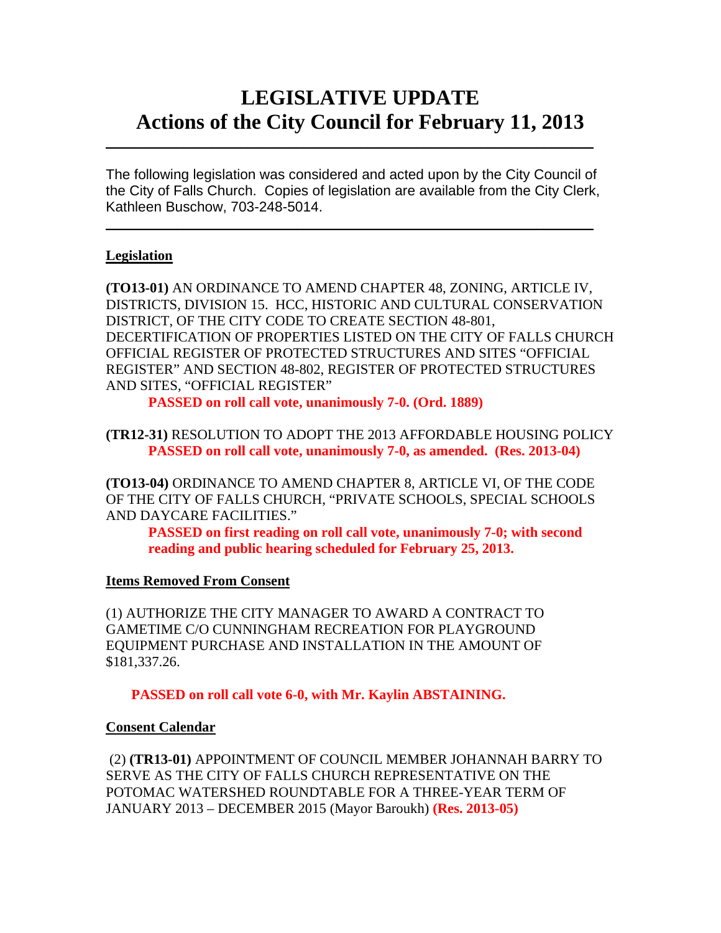# **LEGISLATIVE UPDATE Actions of the City Council for February 11, 2013**

The following legislation was considered and acted upon by the City Council of the City of Falls Church. Copies of legislation are available from the City Clerk, Kathleen Buschow, 703-248-5014.

 $\blacksquare$ 

 $\mathcal{L}_\text{max}$  and  $\mathcal{L}_\text{max}$  and  $\mathcal{L}_\text{max}$  and  $\mathcal{L}_\text{max}$  and  $\mathcal{L}_\text{max}$  and  $\mathcal{L}_\text{max}$ 

#### **Legislation**

**(TO13-01)** AN ORDINANCE TO AMEND CHAPTER 48, ZONING, ARTICLE IV, DISTRICTS, DIVISION 15. HCC, HISTORIC AND CULTURAL CONSERVATION DISTRICT, OF THE CITY CODE TO CREATE SECTION 48-801, DECERTIFICATION OF PROPERTIES LISTED ON THE CITY OF FALLS CHURCH OFFICIAL REGISTER OF PROTECTED STRUCTURES AND SITES "OFFICIAL REGISTER" AND SECTION 48-802, REGISTER OF PROTECTED STRUCTURES AND SITES, "OFFICIAL REGISTER"

**PASSED on roll call vote, unanimously 7-0. (Ord. 1889)** 

**(TR12-31)** RESOLUTION TO ADOPT THE 2013 AFFORDABLE HOUSING POLICY **PASSED on roll call vote, unanimously 7-0, as amended. (Res. 2013-04)** 

**(TO13-04)** ORDINANCE TO AMEND CHAPTER 8, ARTICLE VI, OF THE CODE OF THE CITY OF FALLS CHURCH, "PRIVATE SCHOOLS, SPECIAL SCHOOLS AND DAYCARE FACILITIES."

**PASSED on first reading on roll call vote, unanimously 7-0; with second reading and public hearing scheduled for February 25, 2013.** 

#### **Items Removed From Consent**

(1) AUTHORIZE THE CITY MANAGER TO AWARD A CONTRACT TO GAMETIME C/O CUNNINGHAM RECREATION FOR PLAYGROUND EQUIPMENT PURCHASE AND INSTALLATION IN THE AMOUNT OF \$181,337.26.

**PASSED on roll call vote 6-0, with Mr. Kaylin ABSTAINING.** 

### **Consent Calendar**

 (2) **(TR13-01)** APPOINTMENT OF COUNCIL MEMBER JOHANNAH BARRY TO SERVE AS THE CITY OF FALLS CHURCH REPRESENTATIVE ON THE POTOMAC WATERSHED ROUNDTABLE FOR A THREE-YEAR TERM OF JANUARY 2013 – DECEMBER 2015 (Mayor Baroukh) **(Res. 2013-05)**